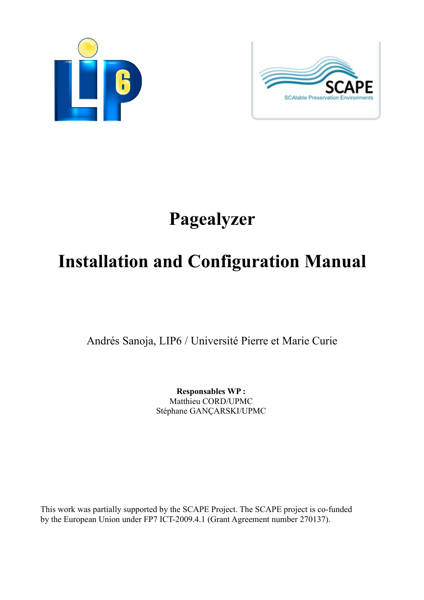



# **Pagealyzer**

# **Installation and Configuration Manual**

Andrés Sanoja, LIP6 / Université Pierre et Marie Curie

**Responsables WP :**  Matthieu CORD/UPMC Stéphane GANÇARSKI/UPMC

This work was partially supported by the SCAPE Project. The SCAPE project is co-funded by the European Union under FP7 ICT-2009.4.1 (Grant Agreement number 270137).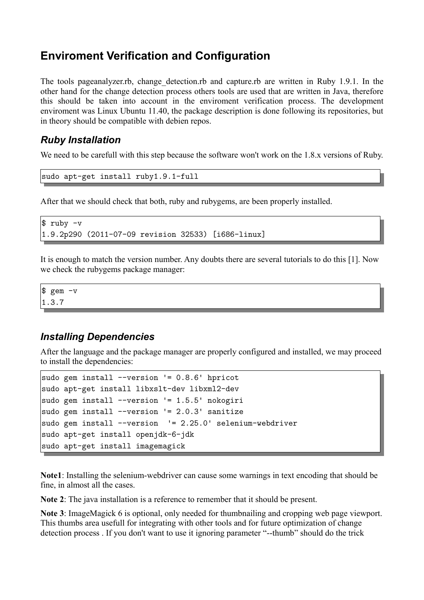## **Enviroment Verification and Configuration**

The tools pageanalyzer.rb, change detection.rb and capture.rb are written in Ruby 1.9.1. In the other hand for the change detection process others tools are used that are written in Java, therefore this should be taken into account in the enviroment verification process. The development enviroment was Linux Ubuntu 11.40, the package description is done following its repositories, but in theory should be compatible with debien repos.

## *Ruby Installation*

We need to be carefull with this step because the software won't work on the 1.8.x versions of Ruby.

```
sudo apt-get install ruby1.9.1-full
```
After that we should check that both, ruby and rubygems, are been properly installed.

```
$ ruby -v
1.9.2p290 (2011-07-09 revision 32533) [i686-linux]
```
It is enough to match the version number. Any doubts there are several tutorials to do this [1]. Now we check the rubygems package manager:

 $$$  gem  $-v$ 1.3.7

## *Installing Dependencies*

After the language and the package manager are properly configured and installed, we may proceed to install the dependencies:

```
sudo gem install --version '= 0.8.6' hpricot
sudo apt-get install libxslt-dev libxml2-dev
sudo gem install --version '= 1.5.5' nokogiri
sudo gem install --version '= 2.0.3' sanitize
sudo gem install --version '= 2.25.0' selenium-webdriver
sudo apt-get install openjdk-6-jdk
sudo apt-get install imagemagick
```
**Note1**: Installing the selenium-webdriver can cause some warnings in text encoding that should be fine, in almost all the cases.

**Note 2**: The java installation is a reference to remember that it should be present.

**Note 3**: ImageMagick 6 is optional, only needed for thumbnailing and cropping web page viewport. This thumbs area usefull for integrating with other tools and for future optimization of change detection process . If you don't want to use it ignoring parameter "--thumb" should do the trick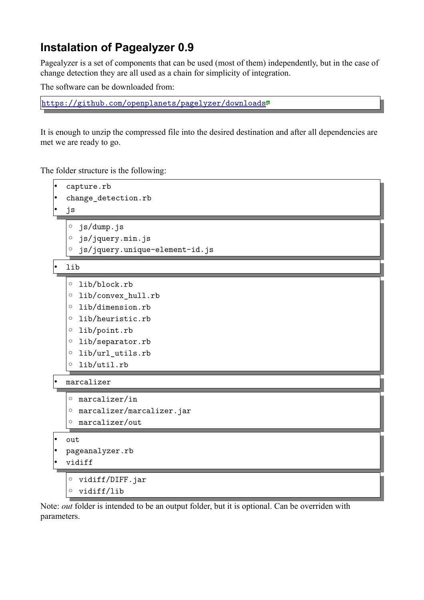# **Instalation of Pagealyzer 0.9**

Pagealyzer is a set of components that can be used (most of them) independently, but in the case of change detection they are all used as a chain for simplicity of integration.

The software can be downloaded from:

<https://github.com/openplanets/pagelyzer/downloads>

It is enough to unzip the compressed file into the desired destination and after all dependencies are met we are ready to go.

The folder structure is the following:



Note: *out* folder is intended to be an output folder, but it is optional. Can be overriden with parameters.